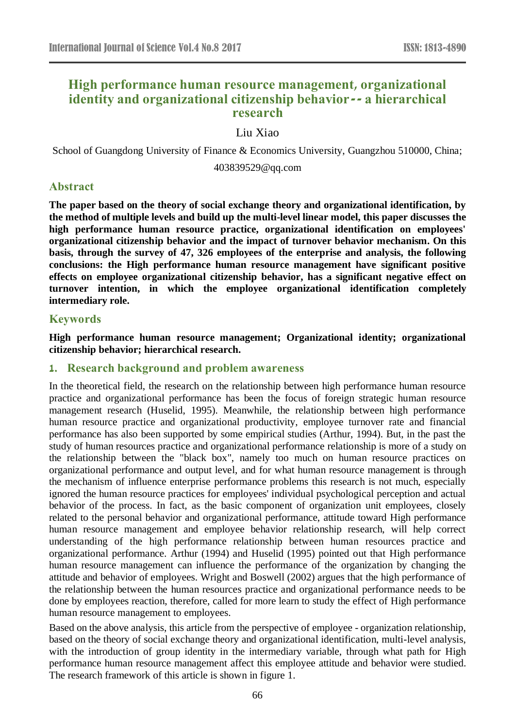# **High performance human resource management, organizational identity and organizational citizenship behavior-- a hierarchical research**

# Liu Xiao

School of Guangdong University of Finance & Economics University, Guangzhou 510000, China;

403839529@qq.com

### **Abstract**

**The paper based on the theory of social exchange theory and organizational identification, by the method of multiple levels and build up the multi-level linear model, this paper discusses the high performance human resource practice, organizational identification on employees' organizational citizenship behavior and the impact of turnover behavior mechanism. On this basis, through the survey of 47, 326 employees of the enterprise and analysis, the following conclusions: the High performance human resource management have significant positive effects on employee organizational citizenship behavior, has a significant negative effect on turnover intention, in which the employee organizational identification completely intermediary role.**

# **Keywords**

**High performance human resource management; Organizational identity; organizational citizenship behavior; hierarchical research.** 

# **1. Research background and problem awareness**

In the theoretical field, the research on the relationship between high performance human resource practice and organizational performance has been the focus of foreign strategic human resource management research (Huselid, 1995). Meanwhile, the relationship between high performance human resource practice and organizational productivity, employee turnover rate and financial performance has also been supported by some empirical studies (Arthur, 1994). But, in the past the study of human resources practice and organizational performance relationship is more of a study on the relationship between the "black box", namely too much on human resource practices on organizational performance and output level, and for what human resource management is through the mechanism of influence enterprise performance problems this research is not much, especially ignored the human resource practices for employees' individual psychological perception and actual behavior of the process. In fact, as the basic component of organization unit employees, closely related to the personal behavior and organizational performance, attitude toward High performance human resource management and employee behavior relationship research, will help correct understanding of the high performance relationship between human resources practice and organizational performance. Arthur (1994) and Huselid (1995) pointed out that High performance human resource management can influence the performance of the organization by changing the attitude and behavior of employees. Wright and Boswell (2002) argues that the high performance of the relationship between the human resources practice and organizational performance needs to be done by employees reaction, therefore, called for more learn to study the effect of High performance human resource management to employees.

Based on the above analysis, this article from the perspective of employee - organization relationship, based on the theory of social exchange theory and organizational identification, multi-level analysis, with the introduction of group identity in the intermediary variable, through what path for High performance human resource management affect this employee attitude and behavior were studied. The research framework of this article is shown in figure 1.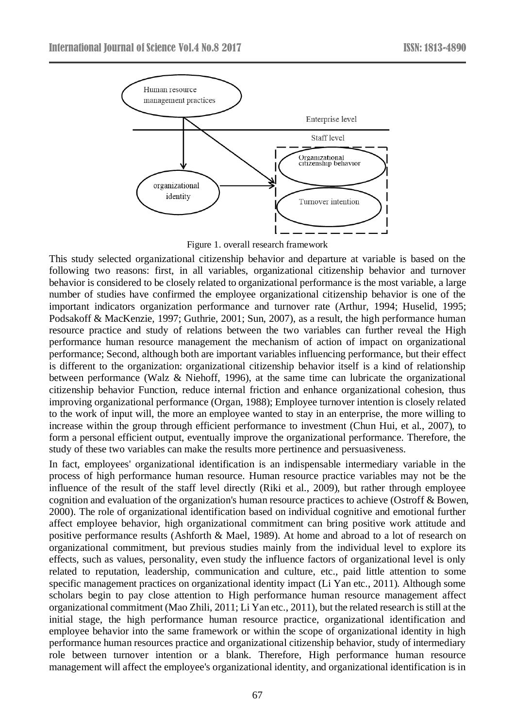

Figure 1. overall research framework

This study selected organizational citizenship behavior and departure at variable is based on the following two reasons: first, in all variables, organizational citizenship behavior and turnover behavior is considered to be closely related to organizational performance is the most variable, a large number of studies have confirmed the employee organizational citizenship behavior is one of the important indicators organization performance and turnover rate (Arthur, 1994; Huselid, 1995; Podsakoff & MacKenzie, 1997; Guthrie, 2001; Sun, 2007), as a result, the high performance human resource practice and study of relations between the two variables can further reveal the High performance human resource management the mechanism of action of impact on organizational performance; Second, although both are important variables influencing performance, but their effect is different to the organization: organizational citizenship behavior itself is a kind of relationship between performance (Walz & Niehoff, 1996), at the same time can lubricate the organizational citizenship behavior Function, reduce internal friction and enhance organizational cohesion, thus improving organizational performance (Organ, 1988); Employee turnover intention is closely related to the work of input will, the more an employee wanted to stay in an enterprise, the more willing to increase within the group through efficient performance to investment (Chun Hui, et al., 2007), to form a personal efficient output, eventually improve the organizational performance. Therefore, the study of these two variables can make the results more pertinence and persuasiveness.

In fact, employees' organizational identification is an indispensable intermediary variable in the process of high performance human resource. Human resource practice variables may not be the influence of the result of the staff level directly (Riki et al., 2009), but rather through employee cognition and evaluation of the organization's human resource practices to achieve (Ostroff & Bowen, 2000). The role of organizational identification based on individual cognitive and emotional further affect employee behavior, high organizational commitment can bring positive work attitude and positive performance results (Ashforth & Mael, 1989). At home and abroad to a lot of research on organizational commitment, but previous studies mainly from the individual level to explore its effects, such as values, personality, even study the influence factors of organizational level is only related to reputation, leadership, communication and culture, etc., paid little attention to some specific management practices on organizational identity impact (Li Yan etc., 2011). Although some scholars begin to pay close attention to High performance human resource management affect organizational commitment (Mao Zhili, 2011; Li Yan etc., 2011), but the related research is still at the initial stage, the high performance human resource practice, organizational identification and employee behavior into the same framework or within the scope of organizational identity in high performance human resources practice and organizational citizenship behavior, study of intermediary role between turnover intention or a blank. Therefore, High performance human resource management will affect the employee's organizational identity, and organizational identification is in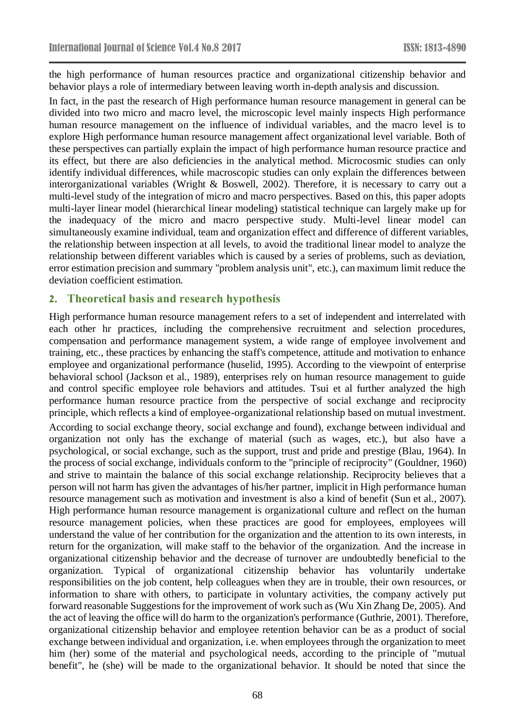the high performance of human resources practice and organizational citizenship behavior and behavior plays a role of intermediary between leaving worth in-depth analysis and discussion.

In fact, in the past the research of High performance human resource management in general can be divided into two micro and macro level, the microscopic level mainly inspects High performance human resource management on the influence of individual variables, and the macro level is to explore High performance human resource management affect organizational level variable. Both of these perspectives can partially explain the impact of high performance human resource practice and its effect, but there are also deficiencies in the analytical method. Microcosmic studies can only identify individual differences, while macroscopic studies can only explain the differences between interorganizational variables (Wright & Boswell, 2002). Therefore, it is necessary to carry out a multi-level study of the integration of micro and macro perspectives. Based on this, this paper adopts multi-layer linear model (hierarchical linear modeling) statistical technique can largely make up for the inadequacy of the micro and macro perspective study. Multi-level linear model can simultaneously examine individual, team and organization effect and difference of different variables, the relationship between inspection at all levels, to avoid the traditional linear model to analyze the relationship between different variables which is caused by a series of problems, such as deviation, error estimation precision and summary "problem analysis unit", etc.), can maximum limit reduce the deviation coefficient estimation.

# **2. Theoretical basis and research hypothesis**

High performance human resource management refers to a set of independent and interrelated with each other hr practices, including the comprehensive recruitment and selection procedures, compensation and performance management system, a wide range of employee involvement and training, etc., these practices by enhancing the staff's competence, attitude and motivation to enhance employee and organizational performance (huselid, 1995). According to the viewpoint of enterprise behavioral school (Jackson et al., 1989), enterprises rely on human resource management to guide and control specific employee role behaviors and attitudes. Tsui et al further analyzed the high performance human resource practice from the perspective of social exchange and reciprocity principle, which reflects a kind of employee-organizational relationship based on mutual investment. According to social exchange theory, social exchange and found), exchange between individual and organization not only has the exchange of material (such as wages, etc.), but also have a psychological, or social exchange, such as the support, trust and pride and prestige (Blau, 1964). In the process of social exchange, individuals conform to the "principle of reciprocity" (Gouldner, 1960) and strive to maintain the balance of this social exchange relationship. Reciprocity believes that a person will not harm has given the advantages of his/her partner, implicit in High performance human resource management such as motivation and investment is also a kind of benefit (Sun et al., 2007). High performance human resource management is organizational culture and reflect on the human resource management policies, when these practices are good for employees, employees will understand the value of her contribution for the organization and the attention to its own interests, in return for the organization, will make staff to the behavior of the organization. And the increase in organizational citizenship behavior and the decrease of turnover are undoubtedly beneficial to the organization. Typical of organizational citizenship behavior has voluntarily undertake responsibilities on the job content, help colleagues when they are in trouble, their own resources, or information to share with others, to participate in voluntary activities, the company actively put forward reasonable Suggestions for the improvement of work such as (Wu Xin Zhang De, 2005). And the act of leaving the office will do harm to the organization's performance (Guthrie, 2001). Therefore, organizational citizenship behavior and employee retention behavior can be as a product of social exchange between individual and organization, i.e. when employees through the organization to meet him (her) some of the material and psychological needs, according to the principle of "mutual benefit", he (she) will be made to the organizational behavior. It should be noted that since the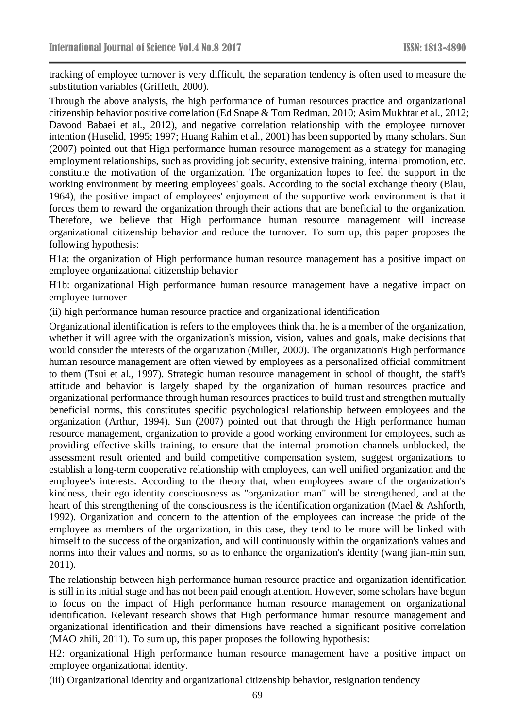tracking of employee turnover is very difficult, the separation tendency is often used to measure the substitution variables (Griffeth, 2000).

Through the above analysis, the high performance of human resources practice and organizational citizenship behavior positive correlation (Ed Snape & Tom Redman, 2010; Asim Mukhtar et al., 2012; Davood Babaei et al., 2012), and negative correlation relationship with the employee turnover intention (Huselid, 1995; 1997; Huang Rahim et al., 2001) has been supported by many scholars. Sun (2007) pointed out that High performance human resource management as a strategy for managing employment relationships, such as providing job security, extensive training, internal promotion, etc. constitute the motivation of the organization. The organization hopes to feel the support in the working environment by meeting employees' goals. According to the social exchange theory (Blau, 1964), the positive impact of employees' enjoyment of the supportive work environment is that it forces them to reward the organization through their actions that are beneficial to the organization. Therefore, we believe that High performance human resource management will increase organizational citizenship behavior and reduce the turnover. To sum up, this paper proposes the following hypothesis:

H1a: the organization of High performance human resource management has a positive impact on employee organizational citizenship behavior

H1b: organizational High performance human resource management have a negative impact on employee turnover

(ii) high performance human resource practice and organizational identification

Organizational identification is refers to the employees think that he is a member of the organization, whether it will agree with the organization's mission, vision, values and goals, make decisions that would consider the interests of the organization (Miller, 2000). The organization's High performance human resource management are often viewed by employees as a personalized official commitment to them (Tsui et al., 1997). Strategic human resource management in school of thought, the staff's attitude and behavior is largely shaped by the organization of human resources practice and organizational performance through human resources practices to build trust and strengthen mutually beneficial norms, this constitutes specific psychological relationship between employees and the organization (Arthur, 1994). Sun (2007) pointed out that through the High performance human resource management, organization to provide a good working environment for employees, such as providing effective skills training, to ensure that the internal promotion channels unblocked, the assessment result oriented and build competitive compensation system, suggest organizations to establish a long-term cooperative relationship with employees, can well unified organization and the employee's interests. According to the theory that, when employees aware of the organization's kindness, their ego identity consciousness as "organization man" will be strengthened, and at the heart of this strengthening of the consciousness is the identification organization (Mael & Ashforth, 1992). Organization and concern to the attention of the employees can increase the pride of the employee as members of the organization, in this case, they tend to be more will be linked with himself to the success of the organization, and will continuously within the organization's values and norms into their values and norms, so as to enhance the organization's identity (wang jian-min sun, 2011).

The relationship between high performance human resource practice and organization identification is still in its initial stage and has not been paid enough attention. However, some scholars have begun to focus on the impact of High performance human resource management on organizational identification. Relevant research shows that High performance human resource management and organizational identification and their dimensions have reached a significant positive correlation (MAO zhili, 2011). To sum up, this paper proposes the following hypothesis:

H2: organizational High performance human resource management have a positive impact on employee organizational identity.

(iii) Organizational identity and organizational citizenship behavior, resignation tendency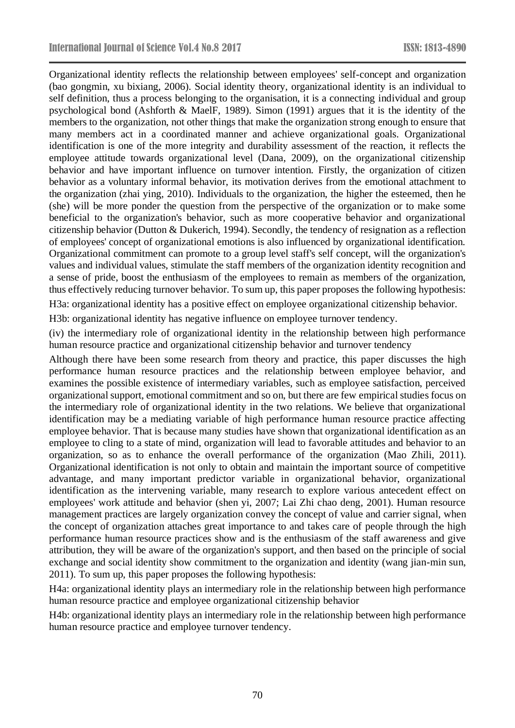Organizational identity reflects the relationship between employees' self-concept and organization (bao gongmin, xu bixiang, 2006). Social identity theory, organizational identity is an individual to self definition, thus a process belonging to the organisation, it is a connecting individual and group psychological bond (Ashforth & MaelF, 1989). Simon (1991) argues that it is the identity of the members to the organization, not other things that make the organization strong enough to ensure that many members act in a coordinated manner and achieve organizational goals. Organizational identification is one of the more integrity and durability assessment of the reaction, it reflects the employee attitude towards organizational level (Dana, 2009), on the organizational citizenship behavior and have important influence on turnover intention. Firstly, the organization of citizen behavior as a voluntary informal behavior, its motivation derives from the emotional attachment to the organization (zhai ying, 2010). Individuals to the organization, the higher the esteemed, then he (she) will be more ponder the question from the perspective of the organization or to make some beneficial to the organization's behavior, such as more cooperative behavior and organizational citizenship behavior (Dutton & Dukerich, 1994). Secondly, the tendency of resignation as a reflection of employees' concept of organizational emotions is also influenced by organizational identification. Organizational commitment can promote to a group level staff's self concept, will the organization's values and individual values, stimulate the staff members of the organization identity recognition and a sense of pride, boost the enthusiasm of the employees to remain as members of the organization, thus effectively reducing turnover behavior. To sum up, this paper proposes the following hypothesis:

H3a: organizational identity has a positive effect on employee organizational citizenship behavior.

H3b: organizational identity has negative influence on employee turnover tendency.

(iv) the intermediary role of organizational identity in the relationship between high performance human resource practice and organizational citizenship behavior and turnover tendency

Although there have been some research from theory and practice, this paper discusses the high performance human resource practices and the relationship between employee behavior, and examines the possible existence of intermediary variables, such as employee satisfaction, perceived organizational support, emotional commitment and so on, but there are few empirical studies focus on the intermediary role of organizational identity in the two relations. We believe that organizational identification may be a mediating variable of high performance human resource practice affecting employee behavior. That is because many studies have shown that organizational identification as an employee to cling to a state of mind, organization will lead to favorable attitudes and behavior to an organization, so as to enhance the overall performance of the organization (Mao Zhili, 2011). Organizational identification is not only to obtain and maintain the important source of competitive advantage, and many important predictor variable in organizational behavior, organizational identification as the intervening variable, many research to explore various antecedent effect on employees' work attitude and behavior (shen yi, 2007; Lai Zhi chao deng, 2001). Human resource management practices are largely organization convey the concept of value and carrier signal, when the concept of organization attaches great importance to and takes care of people through the high performance human resource practices show and is the enthusiasm of the staff awareness and give attribution, they will be aware of the organization's support, and then based on the principle of social exchange and social identity show commitment to the organization and identity (wang jian-min sun, 2011). To sum up, this paper proposes the following hypothesis:

H4a: organizational identity plays an intermediary role in the relationship between high performance human resource practice and employee organizational citizenship behavior

H4b: organizational identity plays an intermediary role in the relationship between high performance human resource practice and employee turnover tendency.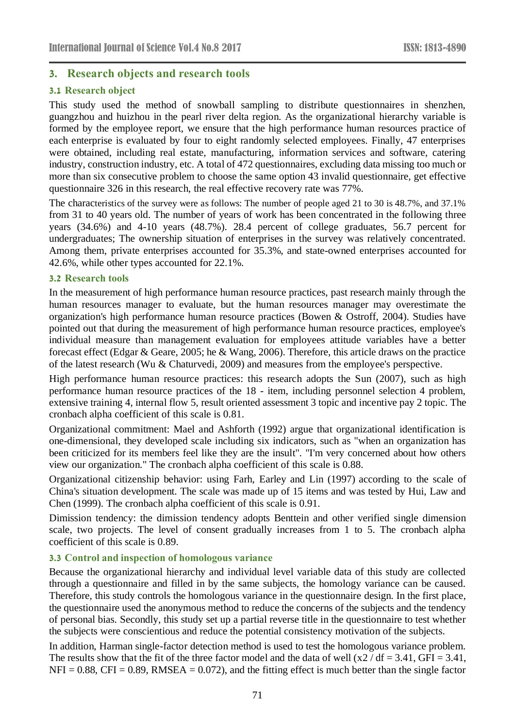# **3. Research objects and research tools**

# **3.1 Research object**

This study used the method of snowball sampling to distribute questionnaires in shenzhen, guangzhou and huizhou in the pearl river delta region. As the organizational hierarchy variable is formed by the employee report, we ensure that the high performance human resources practice of each enterprise is evaluated by four to eight randomly selected employees. Finally, 47 enterprises were obtained, including real estate, manufacturing, information services and software, catering industry, construction industry, etc. A total of 472 questionnaires, excluding data missing too much or more than six consecutive problem to choose the same option 43 invalid questionnaire, get effective questionnaire 326 in this research, the real effective recovery rate was 77%.

The characteristics of the survey were as follows: The number of people aged 21 to 30 is 48.7%, and 37.1% from 31 to 40 years old. The number of years of work has been concentrated in the following three years (34.6%) and 4-10 years (48.7%). 28.4 percent of college graduates, 56.7 percent for undergraduates; The ownership situation of enterprises in the survey was relatively concentrated. Among them, private enterprises accounted for 35.3%, and state-owned enterprises accounted for 42.6%, while other types accounted for 22.1%.

#### **3.2 Research tools**

In the measurement of high performance human resource practices, past research mainly through the human resources manager to evaluate, but the human resources manager may overestimate the organization's high performance human resource practices (Bowen & Ostroff, 2004). Studies have pointed out that during the measurement of high performance human resource practices, employee's individual measure than management evaluation for employees attitude variables have a better forecast effect (Edgar & Geare, 2005; he & Wang, 2006). Therefore, this article draws on the practice of the latest research (Wu & Chaturvedi, 2009) and measures from the employee's perspective.

High performance human resource practices: this research adopts the Sun (2007), such as high performance human resource practices of the 18 - item, including personnel selection 4 problem, extensive training 4, internal flow 5, result oriented assessment 3 topic and incentive pay 2 topic. The cronbach alpha coefficient of this scale is 0.81.

Organizational commitment: Mael and Ashforth (1992) argue that organizational identification is one-dimensional, they developed scale including six indicators, such as "when an organization has been criticized for its members feel like they are the insult". "I'm very concerned about how others view our organization." The cronbach alpha coefficient of this scale is 0.88.

Organizational citizenship behavior: using Farh, Earley and Lin (1997) according to the scale of China's situation development. The scale was made up of 15 items and was tested by Hui, Law and Chen (1999). The cronbach alpha coefficient of this scale is 0.91.

Dimission tendency: the dimission tendency adopts Benttein and other verified single dimension scale, two projects. The level of consent gradually increases from 1 to 5. The cronbach alpha coefficient of this scale is 0.89.

### **3.3 Control and inspection of homologous variance**

Because the organizational hierarchy and individual level variable data of this study are collected through a questionnaire and filled in by the same subjects, the homology variance can be caused. Therefore, this study controls the homologous variance in the questionnaire design. In the first place, the questionnaire used the anonymous method to reduce the concerns of the subjects and the tendency of personal bias. Secondly, this study set up a partial reverse title in the questionnaire to test whether the subjects were conscientious and reduce the potential consistency motivation of the subjects.

In addition, Harman single-factor detection method is used to test the homologous variance problem. The results show that the fit of the three factor model and the data of well  $(x2 / df = 3.41,$  GFI = 3.41,  $NFI = 0.88$ ,  $CFI = 0.89$ , RMSEA = 0.072), and the fitting effect is much better than the single factor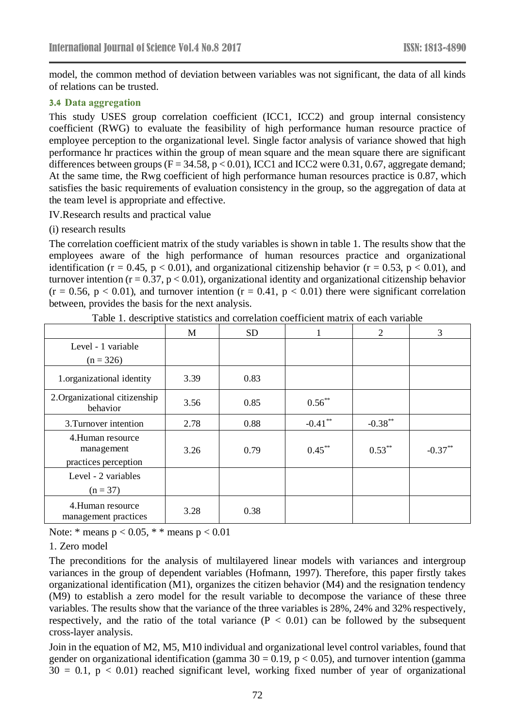model, the common method of deviation between variables was not significant, the data of all kinds of relations can be trusted.

#### **3.4 Data aggregation**

This study USES group correlation coefficient (ICC1, ICC2) and group internal consistency coefficient (RWG) to evaluate the feasibility of high performance human resource practice of employee perception to the organizational level. Single factor analysis of variance showed that high performance hr practices within the group of mean square and the mean square there are significant differences between groups ( $F = 34.58$ ,  $p < 0.01$ ), ICC1 and ICC2 were 0.31, 0.67, aggregate demand; At the same time, the Rwg coefficient of high performance human resources practice is 0.87, which satisfies the basic requirements of evaluation consistency in the group, so the aggregation of data at the team level is appropriate and effective.

IV.Research results and practical value

(i) research results

The correlation coefficient matrix of the study variables is shown in table 1. The results show that the employees aware of the high performance of human resources practice and organizational identification ( $r = 0.45$ ,  $p < 0.01$ ), and organizational citizenship behavior ( $r = 0.53$ ,  $p < 0.01$ ), and turnover intention ( $r = 0.37$ ,  $p < 0.01$ ), organizational identity and organizational citizenship behavior  $(r = 0.56, p < 0.01)$ , and turnover intention  $(r = 0.41, p < 0.01)$  there were significant correlation between, provides the basis for the next analysis.

|                                                        | M    | <b>SD</b> |            | $\overline{2}$ | 3          |
|--------------------------------------------------------|------|-----------|------------|----------------|------------|
| Level - 1 variable<br>$(n = 326)$                      |      |           |            |                |            |
| 1.organizational identity                              | 3.39 | 0.83      |            |                |            |
| 2. Organizational citizenship<br>behavior              | 3.56 | 0.85      | $0.56**$   |                |            |
| 3. Turnover intention                                  | 2.78 | 0.88      | $-0.41$ ** | $-0.38***$     |            |
| 4.Human resource<br>management<br>practices perception | 3.26 | 0.79      | $0.45***$  | $0.53***$      | $-0.37***$ |
| Level - 2 variables<br>$(n = 37)$                      |      |           |            |                |            |
| 4. Human resource<br>management practices              | 3.28 | 0.38      |            |                |            |

Table 1. descriptive statistics and correlation coefficient matrix of each variable

Note:  $*$  means  $p < 0.05$ ,  $*$   $*$  means  $p < 0.01$ 

### 1. Zero model

The preconditions for the analysis of multilayered linear models with variances and intergroup variances in the group of dependent variables (Hofmann, 1997). Therefore, this paper firstly takes organizational identification (M1), organizes the citizen behavior (M4) and the resignation tendency (M9) to establish a zero model for the result variable to decompose the variance of these three variables. The results show that the variance of the three variables is 28%, 24% and 32% respectively, respectively, and the ratio of the total variance  $(P < 0.01)$  can be followed by the subsequent cross-layer analysis.

Join in the equation of M2, M5, M10 individual and organizational level control variables, found that gender on organizational identification (gamma  $30 = 0.19$ ,  $p < 0.05$ ), and turnover intention (gamma  $30 = 0.1$ ,  $p < 0.01$ ) reached significant level, working fixed number of year of organizational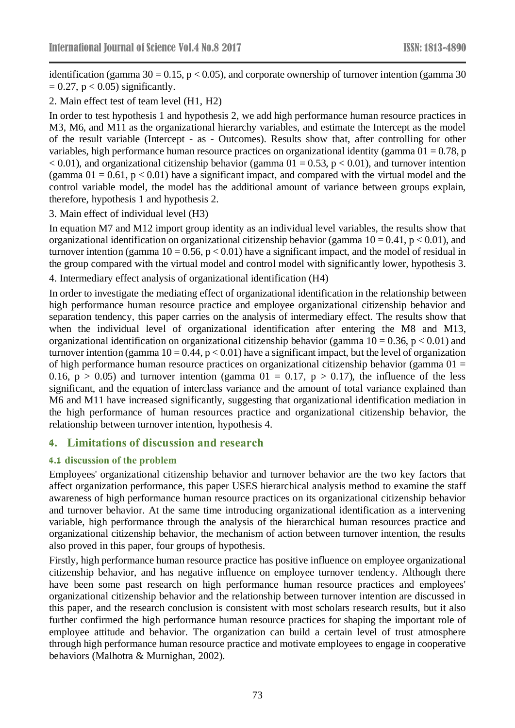identification (gamma  $30 = 0.15$ , p < 0.05), and corporate ownership of turnover intention (gamma 30  $= 0.27$ , p  $< 0.05$ ) significantly.

2. Main effect test of team level (H1, H2)

In order to test hypothesis 1 and hypothesis 2, we add high performance human resource practices in M3, M6, and M11 as the organizational hierarchy variables, and estimate the Intercept as the model of the result variable (Intercept - as - Outcomes). Results show that, after controlling for other variables, high performance human resource practices on organizational identity (gamma  $01 = 0.78$ , p  $< 0.01$ ), and organizational citizenship behavior (gamma  $01 = 0.53$ , p $< 0.01$ ), and turnover intention (gamma  $01 = 0.61$ ,  $p < 0.01$ ) have a significant impact, and compared with the virtual model and the control variable model, the model has the additional amount of variance between groups explain, therefore, hypothesis 1 and hypothesis 2.

3. Main effect of individual level (H3)

In equation M7 and M12 import group identity as an individual level variables, the results show that organizational identification on organizational citizenship behavior (gamma  $10 = 0.41$ ,  $p < 0.01$ ), and turnover intention (gamma  $10 = 0.56$ ,  $p < 0.01$ ) have a significant impact, and the model of residual in the group compared with the virtual model and control model with significantly lower, hypothesis 3.

4. Intermediary effect analysis of organizational identification (H4)

In order to investigate the mediating effect of organizational identification in the relationship between high performance human resource practice and employee organizational citizenship behavior and separation tendency, this paper carries on the analysis of intermediary effect. The results show that when the individual level of organizational identification after entering the M8 and M13, organizational identification on organizational citizenship behavior (gamma  $10 = 0.36$ ,  $p < 0.01$ ) and turnover intention (gamma  $10 = 0.44$ ,  $p < 0.01$ ) have a significant impact, but the level of organization of high performance human resource practices on organizational citizenship behavior (gamma  $01 =$ 0.16,  $p > 0.05$ ) and turnover intention (gamma 01 = 0.17,  $p > 0.17$ ), the influence of the less significant, and the equation of interclass variance and the amount of total variance explained than M6 and M11 have increased significantly, suggesting that organizational identification mediation in the high performance of human resources practice and organizational citizenship behavior, the relationship between turnover intention, hypothesis 4.

# **4. Limitations of discussion and research**

### **4.1 discussion of the problem**

Employees' organizational citizenship behavior and turnover behavior are the two key factors that affect organization performance, this paper USES hierarchical analysis method to examine the staff awareness of high performance human resource practices on its organizational citizenship behavior and turnover behavior. At the same time introducing organizational identification as a intervening variable, high performance through the analysis of the hierarchical human resources practice and organizational citizenship behavior, the mechanism of action between turnover intention, the results also proved in this paper, four groups of hypothesis.

Firstly, high performance human resource practice has positive influence on employee organizational citizenship behavior, and has negative influence on employee turnover tendency. Although there have been some past research on high performance human resource practices and employees' organizational citizenship behavior and the relationship between turnover intention are discussed in this paper, and the research conclusion is consistent with most scholars research results, but it also further confirmed the high performance human resource practices for shaping the important role of employee attitude and behavior. The organization can build a certain level of trust atmosphere through high performance human resource practice and motivate employees to engage in cooperative behaviors (Malhotra & Murnighan, 2002).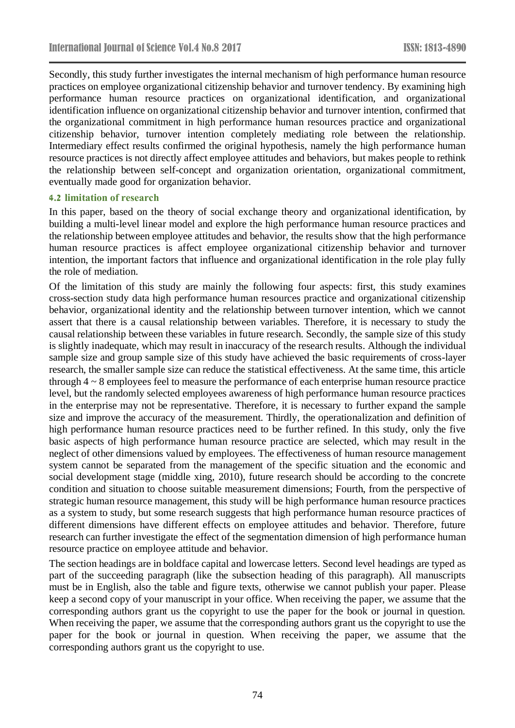Secondly, this study further investigates the internal mechanism of high performance human resource practices on employee organizational citizenship behavior and turnover tendency. By examining high performance human resource practices on organizational identification, and organizational identification influence on organizational citizenship behavior and turnover intention, confirmed that the organizational commitment in high performance human resources practice and organizational citizenship behavior, turnover intention completely mediating role between the relationship. Intermediary effect results confirmed the original hypothesis, namely the high performance human resource practices is not directly affect employee attitudes and behaviors, but makes people to rethink the relationship between self-concept and organization orientation, organizational commitment, eventually made good for organization behavior.

### **4.2 limitation of research**

In this paper, based on the theory of social exchange theory and organizational identification, by building a multi-level linear model and explore the high performance human resource practices and the relationship between employee attitudes and behavior, the results show that the high performance human resource practices is affect employee organizational citizenship behavior and turnover intention, the important factors that influence and organizational identification in the role play fully the role of mediation.

Of the limitation of this study are mainly the following four aspects: first, this study examines cross-section study data high performance human resources practice and organizational citizenship behavior, organizational identity and the relationship between turnover intention, which we cannot assert that there is a causal relationship between variables. Therefore, it is necessary to study the causal relationship between these variables in future research. Secondly, the sample size of this study is slightly inadequate, which may result in inaccuracy of the research results. Although the individual sample size and group sample size of this study have achieved the basic requirements of cross-layer research, the smaller sample size can reduce the statistical effectiveness. At the same time, this article through 4 ~ 8 employees feel to measure the performance of each enterprise human resource practice level, but the randomly selected employees awareness of high performance human resource practices in the enterprise may not be representative. Therefore, it is necessary to further expand the sample size and improve the accuracy of the measurement. Thirdly, the operationalization and definition of high performance human resource practices need to be further refined. In this study, only the five basic aspects of high performance human resource practice are selected, which may result in the neglect of other dimensions valued by employees. The effectiveness of human resource management system cannot be separated from the management of the specific situation and the economic and social development stage (middle xing, 2010), future research should be according to the concrete condition and situation to choose suitable measurement dimensions; Fourth, from the perspective of strategic human resource management, this study will be high performance human resource practices as a system to study, but some research suggests that high performance human resource practices of different dimensions have different effects on employee attitudes and behavior. Therefore, future research can further investigate the effect of the segmentation dimension of high performance human resource practice on employee attitude and behavior.

The section headings are in boldface capital and lowercase letters. Second level headings are typed as part of the succeeding paragraph (like the subsection heading of this paragraph). All manuscripts must be in English, also the table and figure texts, otherwise we cannot publish your paper. Please keep a second copy of your manuscript in your office. When receiving the paper, we assume that the corresponding authors grant us the copyright to use the paper for the book or journal in question. When receiving the paper, we assume that the corresponding authors grant us the copyright to use the paper for the book or journal in question. When receiving the paper, we assume that the corresponding authors grant us the copyright to use.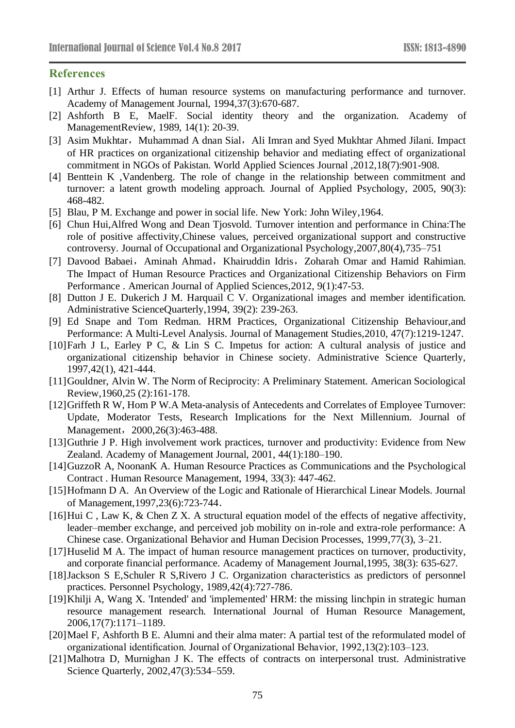# **References**

- [1] Arthur J. Effects of human resource systems on manufacturing performance and turnover. Academy of Management Journal, 1994,37(3):670-687.
- [2] Ashforth B E, MaelF. Social identity theory and the organization. Academy of ManagementReview, 1989, 14(1): 20-39.
- [3] Asim Mukhtar, Muhammad A dnan Sial, Ali Imran and Syed Mukhtar Ahmed Jilani. Impact of HR practices on organizational citizenship behavior and mediating effect of organizational commitment in NGOs of Pakistan. World Applied Sciences Journal ,2012,18(7):901-908.
- [4] Benttein K ,Vandenberg. The role of change in the relationship between commitment and turnover: a latent growth modeling approach. Journal of Applied Psychology, 2005, 90(3): 468-482.
- [5] Blau, P M. Exchange and power in social life. New York: John Wiley,1964.
- [6] Chun Hui,Alfred Wong and Dean Tjosvold. Turnover intention and performance in China:The role of positive affectivity,Chinese values, perceived organizational support and constructive controversy. Journal of Occupational and Organizational Psychology,2007,80(4),735–751
- [7] Davood Babaei, Aminah Ahmad, Khairuddin Idris, Zoharah Omar and Hamid Rahimian. The Impact of Human Resource Practices and Organizational Citizenship Behaviors on Firm Performance . American Journal of Applied Sciences,2012, 9(1):47-53.
- [8] Dutton J E. Dukerich J M. Harquail C V. Organizational images and member identification. Administrative ScienceQuarterly,1994, 39(2): 239-263.
- [9] Ed Snape and Tom Redman. HRM Practices, Organizational Citizenship Behaviour,and Performance: A Multi-Level Analysis. Journal of Management Studies,2010, 47(7):1219-1247.
- [10]Farh J L, Earley P C, & Lin S C. Impetus for action: A cultural analysis of justice and organizational citizenship behavior in Chinese society. Administrative Science Quarterly, 1997,42(1), 421-444.
- [11]Gouldner, Alvin W. The Norm of Reciprocity: A Preliminary Statement. American Sociological Review,1960,25 (2):161-178.
- [12]Griffeth R W, Hom P W.A Meta-analysis of Antecedents and Correlates of Employee Turnover: Update, Moderator Tests, Research Implications for the Next Millennium. Journal of Management, 2000,26(3):463-488.
- [13]Guthrie J P. High involvement work practices, turnover and productivity: Evidence from New Zealand. Academy of Management Journal, 2001, 44(1):180–190.
- [14]GuzzoR A, NoonanK A. Human Resource Practices as Communications and the Psychological Contract . Human Resource Management, 1994, 33(3): 447-462.
- [15]Hofmann D A. An Overview of the Logic and Rationale of Hierarchical Linear Models. Journal of Management,1997,23(6):723-744.
- [16]Hui C, Law K, & Chen Z X. A structural equation model of the effects of negative affectivity, leader–member exchange, and perceived job mobility on in-role and extra-role performance: A Chinese case. Organizational Behavior and Human Decision Processes, 1999,77(3), 3–21.
- [17]Huselid M A. The impact of human resource management practices on turnover, productivity, and corporate financial performance. Academy of Management Journal,1995, 38(3): 635-627.
- [18]Jackson S E,Schuler R S,Rivero J C. Organization characteristics as predictors of personnel practices. Personnel Psychology, 1989,42(4):727-786.
- [19]Khilji A, Wang X. 'Intended' and 'implemented' HRM: the missing linchpin in strategic human resource management research. International Journal of Human Resource Management, 2006,17(7):1171–1189.
- [20]Mael F, Ashforth B E. Alumni and their alma mater: A partial test of the reformulated model of organizational identification. Journal of Organizational Behavior, 1992,13(2):103–123.
- [21]Malhotra D, Murnighan J K. The effects of contracts on interpersonal trust. Administrative Science Quarterly, 2002,47(3):534–559.